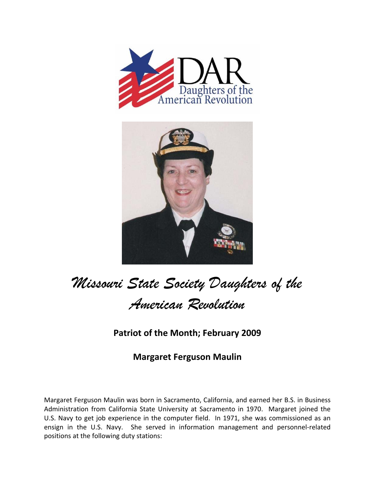



## *Missouri State Society Daughters of the American Revolution*

## **Patriot of the Month; February 2009**

## **Margaret Ferguson Maulin**

Margaret Ferguson Maulin was born in Sacramento, California, and earned her B.S. in Business Administration from California State University at Sacramento in 1970. Margaret joined the U.S. Navy to get job experience in the computer field. In 1971, she was commissioned as an ensign in the U.S. Navy. She served in information management and personnel-related positions at the following duty stations: